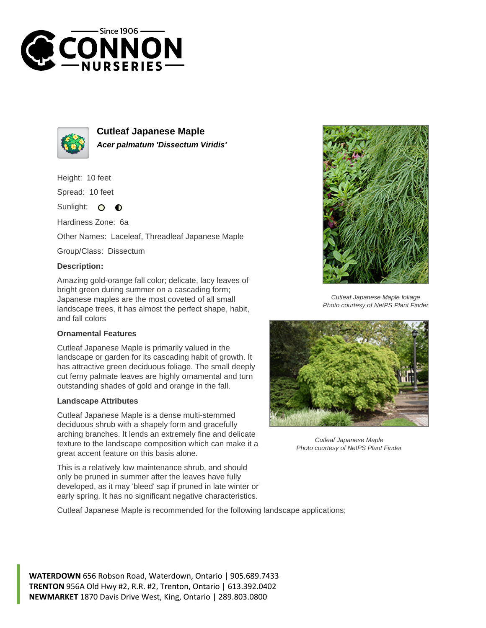



**Cutleaf Japanese Maple Acer palmatum 'Dissectum Viridis'**

Height: 10 feet

Spread: 10 feet

Sunlight:  $\mathbf{O}$  $\bullet$ 

Hardiness Zone: 6a

Other Names: Laceleaf, Threadleaf Japanese Maple

Group/Class: Dissectum

## **Description:**

Amazing gold-orange fall color; delicate, lacy leaves of bright green during summer on a cascading form; Japanese maples are the most coveted of all small landscape trees, it has almost the perfect shape, habit, and fall colors

## **Ornamental Features**

Cutleaf Japanese Maple is primarily valued in the landscape or garden for its cascading habit of growth. It has attractive green deciduous foliage. The small deeply cut ferny palmate leaves are highly ornamental and turn outstanding shades of gold and orange in the fall.

## **Landscape Attributes**

Cutleaf Japanese Maple is a dense multi-stemmed deciduous shrub with a shapely form and gracefully arching branches. It lends an extremely fine and delicate texture to the landscape composition which can make it a great accent feature on this basis alone.

This is a relatively low maintenance shrub, and should only be pruned in summer after the leaves have fully developed, as it may 'bleed' sap if pruned in late winter or early spring. It has no significant negative characteristics.

Cutleaf Japanese Maple is recommended for the following landscape applications;



Cutleaf Japanese Maple foliage Photo courtesy of NetPS Plant Finder



Cutleaf Japanese Maple Photo courtesy of NetPS Plant Finder

**WATERDOWN** 656 Robson Road, Waterdown, Ontario | 905.689.7433 **TRENTON** 956A Old Hwy #2, R.R. #2, Trenton, Ontario | 613.392.0402 **NEWMARKET** 1870 Davis Drive West, King, Ontario | 289.803.0800